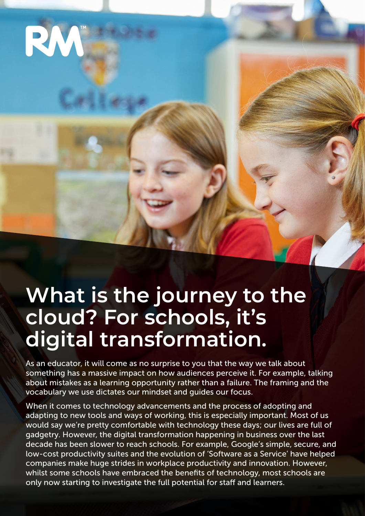

# **What is the journey to the cloud? For schools, it's digital transformation.**

As an educator, it will come as no surprise to you that the way we talk about something has a massive impact on how audiences perceive it. For example, talking about mistakes as a learning opportunity rather than a failure. The framing and the vocabulary we use dictates our mindset and guides our focus.

When it comes to technology advancements and the process of adopting and adapting to new tools and ways of working, this is especially important. Most of us would say we're pretty comfortable with technology these days; our lives are full of gadgetry. However, the digital transformation happening in business over the last decade has been slower to reach schools. For example, Google's simple, secure, and low-cost productivity suites and the evolution of 'Software as a Service' have helped companies make huge strides in workplace productivity and innovation. However, whilst some schools have embraced the benefits of technology, most schools are only now starting to investigate the full potential for staff and learners.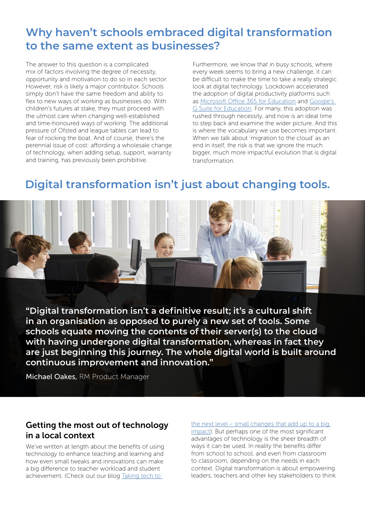## **Why haven't schools embraced digital transformation to the same extent as businesses?**

The answer to this question is a complicated mix of factors involving the degree of necessity, opportunity and motivation to do so in each sector. However, risk is likely a major contributor. Schools simply don't have the same freedom and ability to flex to new ways of working as businesses do. With children's futures at stake, they must proceed with the utmost care when changing well-established and time-honoured ways of working. The additional pressure of Ofsted and league tables can lead to fear of rocking the boat. And of course, there's the perennial issue of cost: affording a wholesale change of technology, when adding setup, support, warranty and training, has previously been prohibitive.

Furthermore, we know that in busy schools, where every week seems to bring a new challenge, it can be difficult to make the time to take a really strategic look at digital technology. Lockdown accelerated the adoption of digital productivity platforms such as [Microsoft Office 365 for Education](https://www.rm.com/education/using-office-365-for-schools) and [Google's](https://www.rm.com/education/google-for-education-distance-learning)  [G Suite for Education](https://www.rm.com/education/google-for-education-distance-learning). For many, this adoption was rushed through necessity, and now is an ideal time to step back and examine the wider picture. And this is where the vocabulary we use becomes important. When we talk about 'migration to the cloud' as an end in itself, the risk is that we ignore the much bigger, much more impactful evolution that is digital transformation.

## **Digital transformation isn't just about changing tools.**



**"Digital transformation isn't a definitive result; it's a cultural shift in an organisation as opposed to purely a new set of tools. Some schools equate moving the contents of their server(s) to the cloud with having undergone digital transformation, whereas in fact they are just beginning this journey. The whole digital world is built around continuous improvement and innovation."** 

Michael Oakes, RM Product Manager

### Getting the most out of technology in a local context

We've written at length about the benefits of using technology to enhance teaching and learning and how even small tweaks and innovations can make a big difference to teacher workload and student achievement. (Check out our blog [Taking tech to](https://www.rm.com/blog/2021/november/taking-tech-to-the-next-level-small-changes-that-add-up-to-a-big-impact) 

[the next level – small changes that add up to a big](https://www.rm.com/blog/2021/november/taking-tech-to-the-next-level-small-changes-that-add-up-to-a-big-impact)  [impact\)](https://www.rm.com/blog/2021/november/taking-tech-to-the-next-level-small-changes-that-add-up-to-a-big-impact). But perhaps one of the most significant advantages of technology is the sheer breadth of ways it can be used. In reality the benefits differ from school to school, and even from classroom to classroom, depending on the needs in each context. Digital transformation is about empowering leaders, teachers and other key stakeholders to think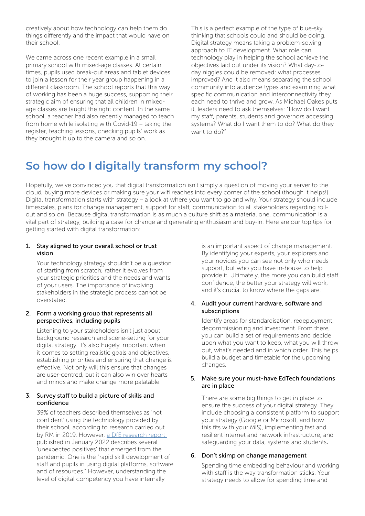creatively about how technology can help them do things differently and the impact that would have on their school.

We came across one recent example in a small primary school with mixed-age classes. At certain times, pupils used break-out areas and tablet devices to join a lesson for their year group happening in a different classroom. The school reports that this way of working has been a huge success, supporting their strategic aim of ensuring that all children in mixedage classes are taught the right content. In the same school, a teacher had also recently managed to teach from home while isolating with Covid-19 – taking the register, teaching lessons, checking pupils' work as they brought it up to the camera and so on.

This is a perfect example of the type of blue-sky thinking that schools could and should be doing. Digital strategy means taking a problem-solving approach to IT development. What role can technology play in helping the school achieve the objectives laid out under its vision? What day-today niggles could be removed; what processes improved? And it also means separating the school community into audience types and examining what specific communication and interconnectivity they each need to thrive and grow. As Michael Oakes puts it, leaders need to ask themselves: "How do I want my staff, parents, students and governors accessing systems? What do I want them to do? What do they want to do?"

## **So how do I digitally transform my school?**

Hopefully, we've convinced you that digital transformation isn't simply a question of moving your server to the cloud, buying more devices or making sure your wifi reaches into every corner of the school (though it helps!). Digital transformation starts with strategy – a look at where you want to go and why. Your strategy should include timescales, plans for change management, support for staff, communication to all stakeholders regarding rollout and so on. Because digital transformation is as much a culture shift as a material one, communication is a vital part of strategy, building a case for change and generating enthusiasm and buy-in. Here are our top tips for getting started with digital transformation:

#### 1. Stay aligned to your overall school or trust vision

Your technology strategy shouldn't be a question of starting from scratch; rather it evolves from your strategic priorities and the needs and wants of your users. The importance of involving stakeholders in the strategic process cannot be overstated.

#### 2. Form a working group that represents all perspectives, including pupils

Listening to your stakeholders isn't just about background research and scene-setting for your digital strategy. It's also hugely important when it comes to setting realistic goals and objectives, establishing priorities and ensuring that change is effective. Not only will this ensure that changes are user-centred, but it can also win over hearts and minds and make change more palatable.

#### 3. Survey staff to build a picture of skills and confidence

39% of teachers described themselves as 'not confident' using the technology provided by their school, according to research carried out by RM in 2019. However, [a DfE research report](https://www.gov.uk/government/publications/school-recovery-strategies-year-1-findings) published in January 2022 describes several 'unexpected positives' that emerged from the pandemic. One is the "rapid skill development of staff and pupils in using digital platforms, software and of resources." However, understanding the level of digital competency you have internally

is an important aspect of change management. By identifying your experts, your explorers and your novices you can see not only who needs support, but who you have in-house to help provide it. Ultimately, the more you can build staff confidence, the better your strategy will work, and it's crucial to know where the gaps are.

#### 4. Audit your current hardware, software and subscriptions

Identify areas for standardisation, redeployment, decommissioning and investment. From there, you can build a set of requirements and decide upon what you want to keep, what you will throw out, what's needed and in which order. This helps build a budget and timetable for the upcoming changes.

#### 5. Make sure your must-have EdTech foundations are in place

There are some big things to get in place to ensure the success of your digital strategy. They include choosing a consistent platform to support your strategy (Google or Microsoft, and how this fits with your MIS), implementing fast and resilient internet and network infrastructure, and safeguarding your data, systems and students.

#### 6. Don't skimp on change management

Spending time embedding behaviour and working with staff is the way transformation sticks. Your strategy needs to allow for spending time and